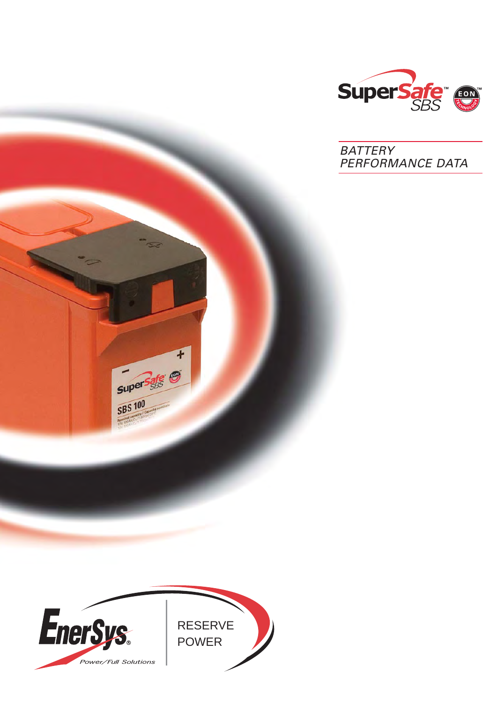

BATTERY PERFORMANCE DATA



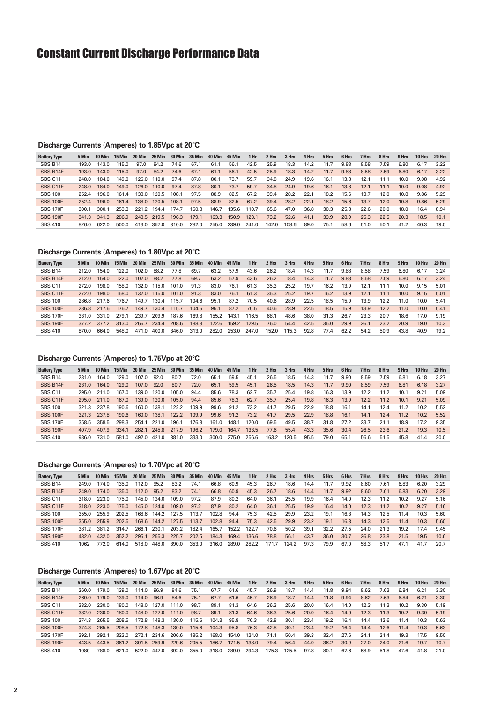# Constant Current Discharge Performance Data

#### **Discharge Currents (Amperes) to 1.85Vpc at 20°C**

| <b>Battery Type</b> | 5 Min | 10 Min | 15 Min | 20 Min | 25 Min | 30 Min | 35 Min | 40 Min | <b>45 Min</b> | 1 Hr  | 2 Hrs | 3 Hrs | 4 Hrs | 5 Hrs | 6 Hrs | 7 Hrs | 8 Hrs | 9 Hrs | 10 Hrs | 20 Hrs |
|---------------------|-------|--------|--------|--------|--------|--------|--------|--------|---------------|-------|-------|-------|-------|-------|-------|-------|-------|-------|--------|--------|
| SBS B14             | 193.0 | 143.0  | 115.0  | 97.0   | 84.2   | 74.6   | 67.1   | 61.1   | 56.1          | 42.5  | 25.9  | 18.3  | 14.2  | 11.7  | 9.88  | 8.58  | 7.59  | 6.80  | 6.17   | 3.22   |
| SBS B14F            | 193.0 | 143.0  | 115.0  | 97.0   | 84.2   | 74.6   | 67.1   | 61.1   | 56.1          | 42.5  | 25.9  | 18.3  | 14.2  | 11.7  | 9.88  | 8.58  | 7.59  | 6.80  | 6.17   | 3.22   |
| SBS <sub>C11</sub>  | 248.0 | 184.0  | 149.0  | 126 O  | 110.0  | 97.4   | 87.8   | 80.1   | 73.7          | 59.7  | 34.8  | 24.9  | 19.6  | 16.1  | 13.8  | 12.1  | 11.7  | 10.0  | 9.08   | 4.92   |
| SBS C11F            | 248.0 | 184.0  | 149.0  | 126.0  | 110.0  | 97.4   | 87.8   | 80.1   | 73.7          | 59.7  | 34.8  | 24.9  | 19.6  | 16.1  | 13.8  | 12.1  | 11.1  | 10.0  | 9.08   | 4.92   |
| <b>SBS 100</b>      | 252.4 | 196.0  | 161.4  | 138.0  | 120.5  | 108.1  | 97.5   | 88.9   | 82.5          | 67.2  | 39.4  | 28.2  | 22.1  | 18.2  | 15.6  | 13.7  | 12.0  | 10.8  | 9.86   | 5.29   |
| <b>SBS 100F</b>     | 252.4 | 196.0  | 161.4  | 138.0  | 120.5  | 108.1  | 97.5   | 88.9   | 82.5          | 67.2  | 39.4  | 28.2  | 22.1  | 18.2  | 15.6  | 13.7  | 12.0  | 10.8  | 9.86   | 5.29   |
| <b>SBS 170F</b>     | 300.1 | 300.1  | 253.3  | 221.2  | 194.4  | 174.7  | 160.8  | 146.7  | 135.6         | 110.7 | 65.6  | 47.0  | 36.8  | 30.3  | 25.8  | 22.6  | 20.0  | 18.0  | 16.4   | 8.94   |
| <b>SBS 190F</b>     | 341.3 | 341.3  | 286.9  | 248.5  | 219.5  | 196.3  | 179.1  | 163.3  | 150.9         | 123.1 | 73.2  | 52.6  | 41.1  | 33.9  | 28.9  | 25.3  | 22.5  | 20.3  | 18.5   | 10.1   |
| <b>SBS 410</b>      | 826.0 | 622.0  | 500.0  | 413.0  | 357.0  | 310.0  | 282.0  | 255.0  | 239.0         | 241.0 | 142.0 | 108.6 | 89.0  | 75.1  | 58.6  | 51.0  | 50.7  | 41.2  | 40.3   | 19.0   |

### **Discharge Currents (Amperes) to 1.80Vpc at 20°C**

| <b>Battery Type</b> |       | 10 Min           | 15 Min           | 20 Min | 25 Min | 30 Min | 35 Min | 40 Min | <b>45 Min</b> | 1 Hr  | 2 Hrs | 3 Hrs | 4 Hrs | 5 Hrs | 6 Hrs | 7 Hrs | 8 Hrs | 9 Hrs | 10 Hrs | 20 Hrs |
|---------------------|-------|------------------|------------------|--------|--------|--------|--------|--------|---------------|-------|-------|-------|-------|-------|-------|-------|-------|-------|--------|--------|
| SBS B14             | 212.0 | 154.0            | 122.0            | 102.0  | 88.2   | 77.8   | 69.7   | 63.2   | 57.9          | 43.6  | 26.2  | 18.4  | 14.3  | 11.7  | 9.88  | 8.58  | 7.59  | 6.80  | 6.17   | 3.24   |
| SBS B14F            | 212.0 | 154.0            | 122.0            | 102.0  | 88.2   | 77.8   | 69.7   | 63.2   | 57.9          | 43.6  | 26.2  | 18.4  | 14.3  | 11.7  | 9.88  | 8.58  | 7.59  | 6.80  | 6.17   | 3.24   |
| SBS C11             | 272.0 | 198.0            | 158.0            | 132.0  | 115.0  | 101.0  | 91.3   | 83.0   | 76.1          | 61.3  | 35.3  | 25.2  | 19.7  | 16.2  | 13.9  | 12.1  | 11.1  | 10.0  | 9.15   | 5.01   |
| SBS C11F            | 272.0 | 198 <sub>0</sub> | 158 <sub>0</sub> | 1320   | 115.0  | 101.0  | 91.3   | 83.0   | 76.1          | 61.3  | 35.3  | 25.2  | 19.7  | 16.2  | 13.9  | 12.1  | 11.1  | 10.0  | 9.15   | 5.01   |
| <b>SBS 100</b>      | 286.8 | 217 G            | 176.7            | 149.7  | 130.4  | 115.7  | 104.6  | 95.1   | 87.2          | 70.5  | 40.6  | 28.9  | 22.5  | 18.5  | 15.9  | 13.9  | 12.2  | 11.0  | 10.0   | 5.41   |
| <b>SBS 100F</b>     | 286.8 | 2176             | 176.7            | 149.7  | 130.4  | 115.7  | 104.6  | 95.1   | 87.2          | 70.5  | 40.6  | 28.9  | 22.5  | 18.5  | 15.9  | 13.9  | 12.2  | 11.0  | 10.0   | 5.41   |
| <b>SBS 170F</b>     | 331.0 | 331.0            | 279.1            | 239.7  | 209.9  | 187.6  | 169.8  | 155.2  | 143.1         | 116.5 | 68.1  | 48.6  | 38.0  | 31.3  | 26.7  | 23.3  | 20.7  | 18.6  | 17.0   | 9.19   |
| <b>SBS 190F</b>     | 377.2 | 377.2            | 313.0            | 266.7  | 234.4  | 208.6  | 188.8  | 172.6  | 159.2         | 129.5 | 76.0  | 54.4  | 42.5  | 35.0  | 29.9  | 26.1  | 23.2  | 20.9  | 19.0   | 10.3   |
| <b>SBS 410</b>      | 870.0 | 664.0            | 548.0            | 471.0  | 400.0  | 346.0  | 313.0  | 282.0  | 253.0         | 247.0 | 152.0 | 115.3 | 92.8  | 77.4  | 62.2  | 54.2  | 50.9  | 43.8  | 40.9   | 19.2   |

#### **Discharge Currents (Amperes) to 1.75Vpc at 20°C**

| <b>Battery Type</b> | 5 Min | 10 Min | 15 Min | 20 Min |       | 25 Min 30 Min 35 Min |       | 40 Min | 45 Min | 1 Hr  | 2 Hrs | 3 Hrs | 4 Hrs | 5 Hrs | 6 Hrs | 7 Hrs | 8 Hrs | 9 Hrs | 10 Hrs | 20 Hrs |
|---------------------|-------|--------|--------|--------|-------|----------------------|-------|--------|--------|-------|-------|-------|-------|-------|-------|-------|-------|-------|--------|--------|
| SBS B14             | 231.0 | 164.0  | 129.0  | 107.0  | 92.0  | 80.7                 | 72.0  | 65.1   | 59.5   | 45.1  | 26.5  | 18.5  | 14.3  | 11.7  | 9.90  | 8.59  | 7.59  | 6.81  | 6.18   | 3.27   |
| SBS B14F            | 231.0 | 164.0  | 129.0  | 107.0  | 92.0  | 80.7                 | 72.0  | 65.1   | 59.5   | 45.1  | 26.5  | 18.5  | 14.3  | 11.7  | 9.90  | 8.59  | 7.59  | 6.81  | 6.18   | 3.27   |
| SBS C11             | 295.0 | 211.0  | 167.0  | 139.0  | 120.0 | 105.0                | 94.4  | 85.6   | 78.3   | 62.7  | 35.7  | 25.4  | 19.8  | 16.3  | 13.9  | 12.2  | 11.2  | 10.1  | 9.21   | 5.09   |
| SBS C11F            | 295.0 | 211.0  | 167.0  | 139.0  | 120.0 | 105.0                | 94.4  | 85.6   | 78.3   | 62.7  | 35.7  | 25.4  | 19.8  | 16.3  | 13.9  | 12.2  | 11.2  | 10.1  | 9.21   | 5.09   |
| <b>SBS 100</b>      | 321.3 | 2378   | 190.6  | 160.0  | 138.1 | 122.2                | 109.9 | 99.6   | 91.2   | 73.2  | 41.7  | 29.5  | 22.9  | 18.8  | 16.1  | 14.1  | 124   | 11.2  | 10.2   | 5.52   |
| <b>SBS 100F</b>     | 321.3 | 237.8  | 190.6  | 160.0  | 138.1 | 122.2                | 109.9 | 99.6   | 91.2   | 73.2  | 41.7  | 29.5  | 22.9  | 18.8  | 16.1  | 14.1  | 12.4  | 11.2  | 10.2   | 5.52   |
| <b>SBS 170F</b>     | 358.5 | 358.5  | 298.3  | 254.1  | 221.0 | 196.1                | 176.8 | 161.0  | 148.1  | 120.0 | 69.5  | 49.5  | 38.7  | 31.8  | 27.2  | 23.7  | 21.1  | 18.9  | 17.2   | 9.35   |
| <b>SBS 190F</b>     | 407.9 | 407.9  | 334.1  | 282.1  | 245.8 | 217.9                | 196.2 | 179.0  | 164.7  | 133.5 | 77.6  | 55.4  | 43.3  | 35.6  | 30.4  | 26.5  | 23.6  | 21.2  | 19.3   | 10.5   |
| <b>SBS 410</b>      | 986.0 | 731.0  | 581.0  | 492.0  | 421.0 | 381.0                | 333.0 | 300.0  | 275.0  | 256.6 | 163.2 | 120.5 | 95.5  | 79.0  | 65.1  | 56.6  | 51.5  | 45.8  | 41.4   | 20.0   |

### **Discharge Currents (Amperes) to 1.70Vpc at 20°C**

| <b>Battery Type</b> | 5 Min | 10 Min | 15 Min | 20 Min |       | 25 Min 30 Min | 35 Min | 40 Min | 45 Min | 1 Hr  | 2 Hrs | 3 Hrs | 4 Hrs | 5 Hrs | 6 Hrs | 7 Hrs | 8 Hrs | 9 Hrs | 10 Hrs | 20 Hrs |
|---------------------|-------|--------|--------|--------|-------|---------------|--------|--------|--------|-------|-------|-------|-------|-------|-------|-------|-------|-------|--------|--------|
| SBS B14             | 249.0 | 174.0  | 135.0  | 112 O  | 95.2  | 83.2          | 74.1   | 66.8   | 60.9   | 45.3  | 26.7  | 18.6  | 14.4  | 11.7  | 9.92  | 8.60  | 7.61  | 6.83  | 6.20   | 3.29   |
| SBS B14F            | 249.0 | 174.0  | 135.0  | 112.0  | 95.2  | 83.2          | 74.1   | 66.8   | 60.9   | 45.3  | 26.7  | 18.6  | 14.4  | 11.7  | 9.92  | 8.60  | 7.61  | 6.83  | 6.20   | 3.29   |
| SBS C11             | 318.0 | 223.0  | 175.0  | 145.0  | 124.0 | 109.0         | 97.2   | 87.9   | 80.2   | 64.0  | 36.1  | 25.5  | 19.9  | 16.4  | 14.0  | 12.3  | 11.2  | 10.2  | 9.27   | 5.16   |
| SBS C11F            | 318.0 | 2230   | 175.0  | 1450   | 124.0 | 109.0         | 97.2   | 87.9   | 80.2   | 64.0  | 36.1  | 25.5  | 19.9  | 16.4  | 14.0  | 12.3  | 112   | 10.2  | 9 27   | 5.16   |
| <b>SBS 100</b>      | 355.0 | 255.9  | 202.5  | 168.6  | 144.2 | 127.5         | 113.7  | 102.8  | 94.4   | 75.3  | 42.5  | 29.9  | 23.2  | 19.1  | 16.3  | 14.3  | 12.5  | 11.4  | 10.3   | 5.60   |
| <b>SBS 100F</b>     | 355.0 | 255.9  | 202.5  | 168.6  | 144.2 | 127.5         | 113.7  | 102.8  | 94.4   | 75.3  | 42.5  | 29.9  | 23.2  | 19.1  | 16.3  | 14.3  | 12.5  | 11.4  | 10.3   | 5.60   |
| <b>SBS 170F</b>     | 381.2 | 381.2  | 314.7  | 266.1  | 230.1 | 203.2         | 182.4  | 165.7  | 152.2  | 122.7 | 70.6  | 50.2  | 39.1  | 32.2  | 27.5  | 24.0  | 21.3  | 19.2  | 17.4   | 9.45   |
| <b>SBS 190F</b>     | 432.0 | 4320   | 352.2  | 295.1  | 255.3 | 225.7         | 202.5  | 184.3  | 169.4  | 136.6 | 78.8  | 56.1  | 43.7  | 36.0  | 30.7  | 26.8  | 23.8  | 21.5  | 19.5   | 10.6   |
| <b>SBS 410</b>      | 1062  | 772.0  | 614.0  | 518.0  | 448.0 | 390.0         | 353.0  | 316.0  | 289.0  | 282.2 | 171.7 | 124.2 | 97.3  | 79.9  | 67.0  | 58.3  | 51.7  | 47.1  | 41.7   | 20.7   |

#### **Discharge Currents (Amperes) to 1.67Vpc at 20°C**

| <b>Battery Type</b> | 5 Min | 10 Min | 15 Min | 20 Min |             | 25 Min 30 Min | 35 Min 40 Min |       | 45 Min | 1 Hr  | 2 Hrs | 3 Hrs | 4 Hrs | 5 Hrs | 6 Hrs | 7 Hrs | 8 Hrs | 9 Hrs | 10 Hrs | 20 Hrs |
|---------------------|-------|--------|--------|--------|-------------|---------------|---------------|-------|--------|-------|-------|-------|-------|-------|-------|-------|-------|-------|--------|--------|
| SBS B14             | 260.0 | 179.0  | 139.0  | 114.0  | 96.9        | 84.6          | 75.1          | 67.7  | 61.6   | 45.7  | 26.9  | 18.7  | 14.4  | 11.8  | 9.94  | 8.62  | 7.63  | 6.84  | 6.21   | 3.30   |
| SBS B14F            | 260.0 | 179.0  | 139.0  | 114.0  | 96.9        | 84.6          | 75.1          | 67.7  | 61.6   | 45.7  | 26.9  | 18.7  | 14.4  | 11.8  | 9.94  | 8.62  | 7.63  | 6.84  | 6.21   | 3.30   |
| SBS <sub>C11</sub>  | 332.0 | 230.0  | 180.0  | 148.0  | 127.0       | 111.0         | 98.7          | 89.1  | 81.3   | 64.6  | 36.3  | 25.6  | 20.0  | 16.4  | 14.0  | 12.3  | 11.3  | 10.2  | 9.30   | 5.19   |
| SBS C11F            | 332.0 | 230.0  | 180.0  | 148.0  | 127.0       | 111.0         | 98.7          | 89.1  | 81.3   | 64.6  | 36.3  | 25.6  | 20.0  | 16.4  | 14.0  | 12.3  | 11.3  | 10.2  | 9.30   | 5.19   |
| <b>SBS 100</b>      | 374.3 | 265.5  | 208.5  | 172.8  | 148.3       | 130.0         | 115.6         | 104.3 | 95.8   | 76.3  | 42.8  | 30.1  | 23.4  | 19.2  | 16.4  | 14.4  | 12.6  | 11.4  | 10.3   | 5.63   |
| <b>SBS 100F</b>     | 374.3 | 265.5  | 208.5  | 172.8  | 148.3       | 130.0         | 115.6         | 104.3 | 95.8   | 76.3  | 42.8  | 30.1  | 23.4  | 19.2  | 16.4  | 14.4  | 12.6  | 11.4  | 10.3   | 5.63   |
| <b>SBS 170F</b>     | 392.1 | 392.1  | 323.0  | 272.1  | 234.6       | 206.6         | 185.2         | 168.0 | 154.0  | 124.0 | 71.1  | 50.4  | 39.3  | 32.4  | 27.6  | 24.1  | 21.4  | 19.3  | 17.5   | 9.50   |
| <b>SBS 190F</b>     | 443.5 | 443.5  | 361.2  |        | 301.5 259.9 | 229.6         | 205.5         | 186.7 | 171.5  | 138.0 | 79.4  | 56.4  | 44.0  | 36.2  | 30.9  | 27.0  | 24.0  | 21.6  | 19.7   | 10.7   |
| <b>SBS 410</b>      | 1080  | 788.0  | 621.0  | 522.0  | 447.0       | 392.0         | 355.0         | 318.0 | 289.0  | 294.3 | 175.3 | 125.5 | 97.8  | 80.1  | 67.6  | 58.9  | 51.8  | 47.6  | 41.8   | 21.0   |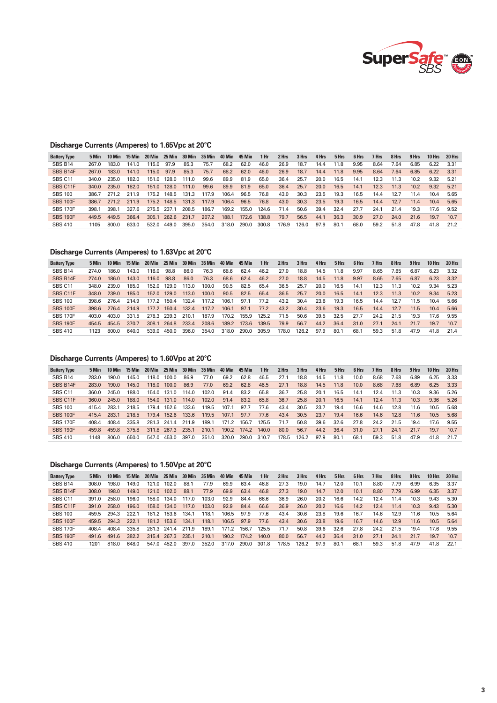

## **Discharge Currents (Amperes) to 1.65Vpc at 20°C**

| <b>Battery Type</b> | 5 Min | 10 Min | 15 Min | 20 Min      | 25 Min      | 30 Min | 35 Min | 40 Min | 45 Min | 1 Hr  | 2 Hrs | 3 Hrs | 4 Hrs | 5 Hrs | 6 Hrs | 7 Hrs | 8 Hrs | 9 Hrs | 10 Hrs | 20 Hrs |
|---------------------|-------|--------|--------|-------------|-------------|--------|--------|--------|--------|-------|-------|-------|-------|-------|-------|-------|-------|-------|--------|--------|
| <b>SBS B14</b>      | 267.0 | 183.0  | 141.0  | 115.0       | 97.9        | 85.3   | 75.7   | 68.2   | 62.0   | 46.0  | 26.9  | 18.7  | 14.4  | 11.8  | 9.95  | 8.64  | 7.64  | 6.85  | 6.22   | 3.31   |
| SBS B14F            | 267.0 | 183.0  | 141.0  | 115.0       | 97.9        | 85.3   | 75.7   | 68.2   | 62.0   | 46.0  | 26.9  | 18.7  | 14.4  | 11.8  | 9.95  | 8.64  | 7.64  | 6.85  | 6.22   | 3.31   |
| SBS <sub>C11</sub>  | 340.0 | 235.0  | 182.0  | 151.0       | 128.0       | 111.0  | 99.6   | 89.9   | 81.9   | 65.0  | 36.4  | 25.7  | 20.0  | 16.5  | 14.1  | 12.3  | 11.3  | 10.2  | 9.32   | 5.21   |
| <b>SBS C11F</b>     | 340.0 | 235.0  | 182.0  | 151.0       | 128.0       | 111.0  | 99.6   | 89.9   | 81.9   | 65.0  | 36.4  | 25.7  | 20.0  | 16.5  | 14.1  | 12.3  | 11.3  | 10.2  | 9.32   | 5.21   |
| <b>SBS 100</b>      | 386.7 | 2712   | 211.9  | 1752        | 148.5       | 131.3  | 117.9  | 106.4  | 96.5   | 76.8  | 43.0  | 30.3  | 23.5  | 19.3  | 16.5  | 14.4  | 12.7  | 11.4  | 10.4   | 5.65   |
| <b>SBS 100F</b>     | 386.7 | 2712   | 211.9  |             | 175.2 148.5 | 131.3  | 117.9  | 106.4  | 96.5   | 76.8  | 43.0  | 30.3  | 23.5  | 19.3  | 16.5  | 14.4  | 12.7  | 11.4  | 10.4   | 5.65   |
| <b>SBS 170F</b>     | 398.1 | 398.1  | 327.6  | 275.5 237.1 |             | 208.5  | 186.7  | 169.2  | 155.0  | 124.6 | 71.4  | 50.6  | 39.4  | 32.4  | 27.7  | 24.1  | 21.4  | 19.3  | 17.6   | 9.52   |
| <b>SBS 190F</b>     | 449.5 | 449.5  | 366.4  | 305.1       | 262.6       | 231.7  | 207.2  | 188.1  | 172.6  | 138.8 | 79.7  | 56.5  | 44.1  | 36.3  | 30.9  | 27.0  | 24.0  | 21.6  | 19.7   | 10.7   |
| <b>SBS 410</b>      | 1105  | 800.0  | 633.0  | 532.0       | 449.0       | 395.0  | 354.0  | 318.0  | 290.0  | 300.8 | 176.9 | 126.0 | 97.9  | 80.1  | 68.0  | 59.2  | 51.8  | 47.8  | 41.8   | 21.2   |

## **Discharge Currents (Amperes) to 1.63Vpc at 20°C**

| <b>Battery Type</b> | 5 Min | 10 Min | 15 Min | 20 Min | 25 Min      | 30 Min |       | 35 Min 40 Min | 45 Min | 1 <sub>hr</sub> | 2 Hrs | 3 Hrs | 4 Hrs | 5 Hrs | 6 Hrs | 7 Hrs | 8 Hrs | 9 Hrs | 10 Hrs | 20 Hrs |
|---------------------|-------|--------|--------|--------|-------------|--------|-------|---------------|--------|-----------------|-------|-------|-------|-------|-------|-------|-------|-------|--------|--------|
| <b>SBS B14</b>      | 274.0 | 186.0  | 143.0  | 116.0  | 98.8        | 86.0   | 76.3  | 68.6          | 62.4   | 46.2            | 27.0  | 18.8  | 14.5  | 11.8  | 9.97  | 8.65  | 7.65  | 6.87  | 6.23   | 3.32   |
| SBS B14F            | 274.0 | 186.0  | 143.0  | 116.0  | 98.8        | 86.0   | 76.3  | 68.6          | 62.4   | 46.2            | 27.0  | 18.8  | 14.5  | 11.8  | 9.97  | 8.65  | 7.65  | 6.87  | 6.23   | 3.32   |
| SBS <sub>C11</sub>  | 348.0 | 239.0  | 185.0  | 152.0  | 129.0       | 113.0  | 100.0 | 90.5          | 82.5   | 65.4            | 36.5  | 25.7  | 20.0  | 16.5  | 14.1  | 12.3  | 11.3  | 10.2  | 9.34   | 5.23   |
| <b>SBS C11F</b>     | 348.0 | 239.0  | 185.0  |        | 152.0 129.0 | 113.0  | 100.0 | 90.5          | 82.5   | 65.4            | 36.5  | 25.7  | 20.0  | 16.5  | 14.1  | 12.3  | 11.3  | 10.2  | 9.34   | 5.23   |
| <b>SBS 100</b>      | 398 6 | 2764   | 214.9  | 177.2  | 150.4       | 132.4  | 117.2 | 106.1         | 97.1   | 77.2            | 43.2  | 30.4  | 23.6  | 19.3  | 16.5  | 14.4  | 127   | 11.5  | 10.4   | 5.66   |
| <b>SBS 100F</b>     | 398.6 | 2764   | 214.9  |        | 177.2 150.4 | 132.4  | 117.2 | 106.1         | 97.1   | 77.2            | 43.2  | 30.4  | 23.6  | 19.3  | 16.5  | 14.4  | 12.7  | 11.5  | 10.4   | 5.66   |
| <b>SBS 170F</b>     | 403.0 | 403.0  | 331.5  | 278.3  | 239.3       | 210.1  | 187.9 | 170.2         | 155.9  | 125.2           | 71.5  | 50.6  | 39.5  | 32.5  | 27.7  | 24.2  | 21.5  | 19.3  | 17.6   | 9.55   |
| <b>SBS 190F</b>     | 454.5 | 454.5  | 370.7  | 308.1  | 264.8       | 233.4  | 208.6 | 189.2         | 173.6  | 139.5           | 79.9  | 56.7  | 44.2  | 36.4  | 31.0  | 27.1  | 24.1  | 21.7  | 19.7   | 10.7   |
| <b>SBS 410</b>      | 1123  | 800.0  | 640.0  | 539.0  | 450.0       | 396.0  | 354.0 | 318.0         | 290.0  | 305.9           | 178.0 | 126.2 | 97.9  | 80.1  | 68.1  | 59.3  | 51.8  | 47.9  | 41.8   | 214    |

## **Discharge Currents (Amperes) to 1.60Vpc at 20°C**

| <b>Battery Type</b> | 5 Min | 10 Min | 15 Min | 20 Min | 25 Min      | 30 Min | - 35 Min | 40 Min | 45 Min | 1 Hr  | 2 Hrs | 3 Hrs | 4 Hrs | 5 Hrs | 6 Hrs | 7 Hrs | 8 Hrs | 9 Hrs | 10 Hrs | 20 Hrs |
|---------------------|-------|--------|--------|--------|-------------|--------|----------|--------|--------|-------|-------|-------|-------|-------|-------|-------|-------|-------|--------|--------|
| <b>SBS B14</b>      | 283.0 | 190.0  | 145.0  | 118.0  | 100.0       | 86.9   | 77.0     | 69.2   | 62.8   | 46.5  | 27.1  | 18.8  | 14.5  | 11.8  | 10.0  | 8.68  | 7.68  | 6.89  | 6.25   | 3.33   |
| SBS B14F            | 283.0 | 190.0  | 145.0  | 118.0  | 100.0       | 86.9   | 77.0     | 69.2   | 62.8   | 46.5  | 27.1  | 18.8  | 14.5  | 11.8  | 10.0  | 8.68  | 7.68  | 6.89  | 6.25   | 3.33   |
| SBS C11             | 360.0 | 245.0  | 188.0  | 154.0  | 131.0       | 114.0  | 102.0    | 91.4   | 83.2   | 65.8  | 36.7  | 25.8  | 20.1  | 16.5  | 14.1  | 12.4  | 11.3  | 10.3  | 9.36   | 5.26   |
| SBS C11F            | 360.0 | 245.0  | 188.0  |        | 154.0 131.0 | 114.0  | 102.0    | 91.4   | 83.2   | 65.8  | 36.7  | 25.8  | 20.1  | 16.5  | 14.1  | 12.4  | 11.3  | 10.3  | 9.36   | 5.26   |
| <b>SBS 100</b>      | 4154  | 283.1  | 218.5  | 179.4  | 152.6       | 133.6  | 119.5    | 107.1  | 97.7   | 77.6  | 43.4  | 30.5  | 23.7  | 19.4  | 16.6  | 14.6  | 12.8  | 11.6  | 10.5   | 5.68   |
| <b>SBS 100F</b>     | 415.4 | 283.1  | 218.5  |        | 179.4 152.6 | 133.6  | 119.5    | 107.1  | 97.7   | 77.6  | 43.4  | 30.5  | 23.7  | 19.4  | 16.6  | 14.6  | 12.8  | 11.6  | 10.5   | 5.68   |
| <b>SBS 170F</b>     | 408.4 | 408.4  | 335.8  |        | 281.3 241.4 | 211.9  | 189.1    | 171.2  | 156.7  | 125.5 | 71.7  | 50.8  | 39.6  | 32.6  | 27.8  | 24.2  | 21.5  | 19.4  | 17.6   | 9.55   |
| <b>SBS 190F</b>     | 459.8 | 459.8  | 375.8  |        | 311.8 267.3 | 235.1  | 210.1    | 190.2  | 174.2  | 140.0 | 80.0  | 56.7  | 44.2  | 36.4  | 31.0  | 27.1  | 24.1  | 21.7  | 19.7   | 10.7   |
| <b>SBS 410</b>      | 1148  | 806.0  | 650.0  | 547.0  | 453.0       | 397.0  | 351.0    | 320.0  | 290.0  | 310.7 | 178.5 | 126.2 | 97.9  | 80.1  | 68.1  | 59.3  | 51.8  | 47.9  | 41.8   | 21.7   |

### **Discharge Currents (Amperes) to 1.50Vpc at 20°C**

| <b>Battery Type</b> | 5 Min | 10 Min | $15$ Min | 20 Min | 25 Min      | 30 Min |       | 35 Min 40 Min | 45 Min | 1 Hr  | 2 Hrs | 3 Hrs | 4 Hrs | 5 Hrs | 6 Hrs | 7 Hrs | 8 Hrs | 9 Hrs | 10 Hrs | 20 Hrs |
|---------------------|-------|--------|----------|--------|-------------|--------|-------|---------------|--------|-------|-------|-------|-------|-------|-------|-------|-------|-------|--------|--------|
| <b>SBS B14</b>      | 308.0 | 198.0  | 149.0    | 121.0  | 102.0       | 88.1   | 77.9  | 69.9          | 63.4   | 46.8  | 27.3  | 19.0  | 14.7  | 12.0  | 10.1  | 8.80  | 7.79  | 6.99  | 6.35   | -3.37  |
| SBS B14F            | 308.0 | 198.0  | 149.0    | 121.0  | 102.0       | 88.1   | 77.9  | 69.9          | 63.4   | 46.8  | 27.3  | 19.0  | 14.7  | 12.0  | 10.1  | 8.80  | 7.79  | 6.99  | 6.35   | 3.37   |
| SBS <sub>C11</sub>  | 391.0 | 258.0  | 196.0    | 158.0  | 134.0       | 117.0  | 103.0 | 92.9          | 84.4   | 66.6  | 36.9  | 26.0  | 20.2  | 16.6  | 14.2  | 12.4  | 11.4  | 10.3  | 9.43   | 5.30   |
| SBS C11F            | 391.0 | 258.0  | 196.0    |        | 158.0 134.0 | 117.0  | 103.0 | 92.9          | 84.4   | 66.6  | 36.9  | 26.0  | 20.2  | 16.6  | 14.2  | 12.4  | 11.4  | 10.3  | 9.43   | 5.30   |
| <b>SBS 100</b>      | 459.5 | 294.3  | 2221     | 181.2  | 153.6       | 134.1  | 118.1 | 106.5         | 97.9   | 77.6  | 43.4  | 30.6  | 23.8  | 19.6  | 16.7  | 14.6  | 12.9  | 11.6  | 10.5   | 5.64   |
| <b>SBS 100F</b>     | 459.5 | 294.3  | 222.1    |        | 181.2 153.6 | 134.1  | 118.1 | 106.5         | 97.9   | 77.6  | 43.4  | 30.6  | 23.8  | 19.6  | 16.7  | 14.6  | 12.9  | 11.6  | 10.5   | 5.64   |
| <b>SBS 170F</b>     | 408.4 | 408.4  | 335.8    |        | 281.3 241.4 | 211.9  | 189.1 | 171.2         | 156.7  | 125.5 | 71.7  | 50.8  | 39.6  | 32.6  | 27.8  | 24.2  | 21.5  | 19.4  | 17.6   | 9.55   |
| <b>SBS 190F</b>     | 491 6 | 491.6  | 382.2    |        | 315.4 267.3 | 235.1  | 210.1 | 190.2         | 174.2  | 140.0 | 80.0  | 56.7  | 44.2  | 36.4  | 31.0  | 27.1  | 24.1  | 21.7  | 19.7   | 10.7   |
| <b>SBS 410</b>      | 1201  | 8180   | 648.0    | 547.0  | 452.0       | 397.0  | 352.0 | 317.0         | 290.0  | 301.8 | 178.5 | 126.2 | 97.9  | 80.1  | 68.1  | 59.3  | 51.8  | 47.9  | 41.8   | 22.1   |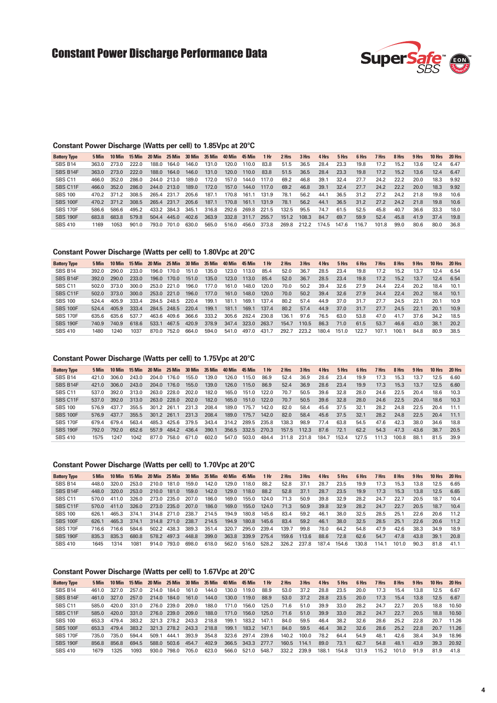# Constant Power Discharge Performance Data



### **Constant Power Discharge (Watts per cell) to 1.85Vpc at 20°C**

| <b>Battery Type</b> | 5 Min | 10 Min | 15 Min | 20 Min      | <b>25 Min</b> | 30 Min | 35 Min 40 Min |       | <b>45 Min</b> | 1 Hr  | 2 Hrs | 3 Hrs | 4 Hrs | 5 Hrs | 6 Hrs | 7 Hrs | 8 Hrs | 9 Hrs | 10 Hrs | 20 Hrs |
|---------------------|-------|--------|--------|-------------|---------------|--------|---------------|-------|---------------|-------|-------|-------|-------|-------|-------|-------|-------|-------|--------|--------|
| SBS B14             | 363.0 | 273.0  | 222.0  | 188.0       | 164.0         | 146.0  | 131.0         | 120.0 | 110.0         | 83.8  | 51.5  | 36.5  | 28.4  | 23.3  | 19.8  | 17.2  | 15.2  | 13.6  | 12.4   | 6.47   |
| SBS B14F            | 363.0 | 273.0  | 222.0  | 188.0       | 164.0         | 146.0  | 131.0         | 120.0 | 110.0         | 83.8  | 51.5  | 36.5  | 28.4  | 23.3  | 19.8  | 17.2  | 15.2  | 13.6  | 12.4   | 6.47   |
| SBS <sub>C11</sub>  | 466.0 | 352.0  | 286.0  | 244.0       | 213.0         | 189.0  | 172.0         | 157.0 | 144.0         | 117.0 | 69.2  | 46.8  | 39.1  | 32.4  | 27.7  | 24.2  | 22.2  | 20.0  | 18.3   | 9.92   |
| SBS C11F            | 466 O | 352.0  | 286.0  | 244.0       | 213.0         | 189.0  | 172.0         | 157.0 | 144.0         | 117.0 | 69.2  | 46.8  | 39.1  | 32.4  | 27.7  | 24.2  | 22.2  | 20.0  | 18.3   | 9.92   |
| <b>SBS 100</b>      | 470.2 | 371.2  | 308.5  | 265.4 231.7 |               | 205.6  | 187.1         | 170.8 | 161.1         | 131.9 | 78.1  | 56.2  | 44.1  | 36.5  | 31.2  | 27.2  | 24.2  | 21.8  | 19.8   | 10.6   |
| <b>SBS 100F</b>     | 470.2 | 3712   | 308.5  | 2654        | 231.7         | 205.6  | 187.1         | 170.8 | 161.1         | 131.9 | 78.1  | 56.2  | 44.1  | 36.5  | 31.2  | 27.2  | 242   | 21.8  | 19.8   | 10.6   |
| <b>SBS 170F</b>     | 586.6 | 586.6  | 495.2  | 433.2       | 384.3         | 345.1  | 316.8         | 292.6 | 269.8         | 221.5 | 132.5 | 95.5  | 74.7  | 61.5  | 52.5  | 45.8  | 40.7  | 36.6  | 33.3   | 18.0   |
| <b>SBS 190F</b>     | 683.8 | 683.8  | 579.8  | 504.4       | 445.0         | 402.6  | 363.9         | 332.8 | 311.7         | 255.7 | 151.2 | 108.3 | 84.7  | 69.7  | 59.9  | 52.4  | 45.8  | 41.9  | 37.4   | 19.8   |
| <b>SBS 410</b>      | 1169  | 1053   | 901.0  | 793.0       | 701.0         | 630.0  | 565.0         | 516.0 | 456.0         | 373.8 | 269.8 | 212.2 | 174.5 | 147.6 | 116.7 | 101.8 | 99.0  | 80.6  | 80.0   | 36.8   |

#### **Constant Power Discharge (Watts per cell) to 1.80Vpc at 20°C**

| <b>Battery Type</b> | 5 Min | 10 Min | - 15 Min | 20 Min |             | 25 Min 30 Min | 35 Min 40 Min |       | <b>45 Min</b> | 1 Hr  | 2 Hrs | 3 Hrs | 4 Hrs | 5 Hrs | 6 Hrs | 7 Hrs | 8 Hrs | 9 Hrs | 10 Hrs | 20 Hrs |
|---------------------|-------|--------|----------|--------|-------------|---------------|---------------|-------|---------------|-------|-------|-------|-------|-------|-------|-------|-------|-------|--------|--------|
| SBS B14             | 392.0 | 290.0  | 233.0    | 196.0  | 170.0       | 151.0         | 135.0         | 123.0 | 113.0         | 85.4  | 52.0  | 36.7  | 28.5  | 23.4  | 19.8  | 17.2  | 15.2  | 13.7  | 12.4   | 6.54   |
| SBS B14F            | 392.0 | 290.0  | 233.0    | 196.0  | 170.0       | 151.0         | 135.0         | 123.0 | 113.0         | 85.4  | 52.0  | 36.7  | 28.5  | 23.4  | 19.8  | 17.2  | 15.2  | 13.7  | 12.4   | 6.54   |
| SBS C11             | 502.0 | 373.0  | 300 O    | 253.0  | 221.0       | 196.0         | 177.0         | 161.0 | 148.0         | 120.0 | 70.0  | 50.2  | 39.4  | 32.6  | 27.9  | 24.4  | 22.4  | 20.2  | 18.4   | 10.1   |
| SBS C11F            | 502.0 | 373.0  | 300.0    | 253.0  | 221.0       | 196.0         | 177.0         | 161.0 | 148.0         | 120.0 | 70.0  | 50.2  | 39.4  | 32.6  | 27.9  | 24.4  | 22.4  | 20.2  | 18.4   | 10.1   |
| <b>SBS 100</b>      | 5244  | 405.9  | 333.4    |        | 284.5 248.5 | 220.4         | 199.1         | 181.1 | 169.1         | 137.4 | 80.2  | 57.4  | 44.9  | 37.0  | 31.7  | 27.7  | 24.5  | 22.1  | 20.1   | 10.9   |
| <b>SBS 100F</b>     | 5244  | 405.9  | 333.4    |        | 284.5 248.5 | 220.4         | 199.1         | 181.1 | 169.1         | 137.4 | 80.2  | 57.4  | 44.9  | 37.0  | 31.7  | 27.7  | 24.5  | 22.1  | 20.1   | 10.9   |
| <b>SBS 170F</b>     | 635.6 | 635.6  | 5377     | 463.6  | 409.6       | 366.6         | 333.2         | 305.6 | 282.4         | 230.8 | 136.1 | 97.6  | 76.5  | 63.0  | 53.8  | 47.0  | 41.7  | 37.6  | 34.2   | 18.5   |
| <b>SBS 190F</b>     | 740.9 | 740.9  | 618.6    | 533.1  | 467.5       | 420.9         | 378.9         | 347.4 | 323.0         | 263.7 | 154.7 | 110.5 | 86.3  | 71.0  | 61.5  | 53.7  | 46.6  | 43.0  | 38.1   | 20.2   |
| <b>SBS 410</b>      | 1480  | 1240   | 1037     | 870.0  | 752.0       | 664.0         | 594.0         | 541.0 | 497.0         | 431.7 | 292.7 | 223.2 | 180.4 | 151.0 | 122.7 | 107.1 | 100.1 | 84.8  | 80.9   | 38.5   |

#### **Constant Power Discharge (Watts per cell) to 1.75Vpc at 20°C**

| <b>Battery Type</b> | 5 Min | 10 Min | 15 Min | 20 Min      |             | 25 Min 30 Min |       | 35 Min 40 Min | 45 Min      | 1 Hr  | 2 Hrs | 3 Hrs | 4 Hrs | 5 Hrs | 6 Hrs | 7 Hrs | 8 Hrs | 9 Hrs | 10 Hrs | 20 Hrs |
|---------------------|-------|--------|--------|-------------|-------------|---------------|-------|---------------|-------------|-------|-------|-------|-------|-------|-------|-------|-------|-------|--------|--------|
| SBS B14             | 421 O | 306.0  | 243.0  | 204.0       | 176.0       | 155.0         | 139.0 | 126.0         | 115.0       | 86.9  | 52.4  | 36.9  | 28.6  | 23.4  | 19.9  | 17.3  | 15.3  | 13.7  | 12.5   | 6.60   |
| SBS B14F            | 421 Q | 306.0  | 243.0  | 204.0       | 176.0       | 155.0         | 139.0 | 126.0         | 115.0       | 86.9  | 52.4  | 36.9  | 28.6  | 23.4  | 19.9  | 17.3  | 15.3  | 13.7  | 12.5   | 6.60   |
| SBS C11             | 537.0 | 392.0  | 313.0  | 263.0       | 228.0       | 202.0         | 182.0 | 165.0         | 151.0       | 122.0 | 70.7  | 50.5  | 39.6  | 32.8  | 28.0  | 24.6  | 22.5  | 20.4  | 18.6   | 10.3   |
| SBS C11F            | 537.0 | 392.0  | 313.0  |             | 263.0 228.0 | 202.0         | 182.0 | 165.0         | 151.0       | 122.0 | 70.7  | 50.5  | 39.6  | 32.8  | 28.0  | 24.6  | 22.5  | 20.4  | 18.6   | 10.3   |
| <b>SBS 100</b>      | 576.9 | 437.7  | 355.5  | 301.2 261.1 |             | 231.3         | 208.4 | 189.0         | 175.7       | 142.0 | 82.0  | 58.4  | 45.6  | 37.5  | 32.1  | 28.2  | 24.8  | 22.5  | 20.4   | 11.1   |
| <b>SBS 100F</b>     | 576.9 | 437.7  | 355.5  |             | 301.2 261.1 | 231.3         | 208.4 | 189.0         | 175.7       | 142.0 | 82.0  | 58.4  | 45.6  | 37.5  | 32.1  | 28.2  | 24.8  | 22.5  | 20.4   | 11.1   |
| <b>SBS 170F</b>     | 6794  | 6794   | 563.4  | 485.3       | 425.6       | 379.5         | 343.4 | 314.2         | 289.5       | 235.8 | 138.3 | 98.9  | 77.4  | 63.8  | 54.5  | 47.6  | 42.3  | 38.0  | 34.6   | 18.8   |
| <b>SBS 190F</b>     | 792.0 | 792.0  | 652.6  |             | 557.9 484.2 | 436.4         | 390.1 |               | 356.5 332.5 | 270.3 | 157.5 | 112.3 | 87.6  | 72.1  | 62.2  | 54.3  | 47.3  | 43.6  | 38.7   | 20.5   |
| <b>SBS 410</b>      | 1575  | 1247   | 1042   | 877.0       | 758.0       | 671.0         | 602.0 | 547.0         | 503.0       | 484.4 | 311.8 | 231.8 | 184.7 | 153.4 | 127.5 | 111.3 | 100.8 | 88.   | 81.5   | 39.9   |

### **Constant Power Discharge (Watts per cell) to 1.70Vpc at 20°C**

| <b>Battery Type</b> | 5 Min |       |       | 20 Min |             |       | 25 Min 30 Min 35 Min 40 Min |       | 45 Min | 1 Hr  | 2 Hrs | 3 Hrs | 4 Hrs | 5 Hrs | 6 Hrs | 7 Hrs | 8 Hrs | 9 Hrs | 10 Hrs | 20 Hrs |
|---------------------|-------|-------|-------|--------|-------------|-------|-----------------------------|-------|--------|-------|-------|-------|-------|-------|-------|-------|-------|-------|--------|--------|
| SBS B14             | 448 O | 320.0 | 253.0 | 210.0  | 181.0       | 159.0 | 142.0                       | 129.0 | 118.0  | 88.2  | 52.8  | 37.1  | 28.7  | 23.5  | 19.9  | 17.3  | 15.3  | 13.8  | 12.5   | 6.65   |
| SBS B14F            | 448.0 | 320.0 | 253.0 | 210.0  | 181.0       | 159.0 | 142.0                       | 129.0 | 118.0  | 88.2  | 52.8  | 37.1  | 28.7  | 23.5  | 19.9  | 17.3  | 15.3  | 13.8  | 12.5   | 6.65   |
| SBS C11             | 570.0 | 411.0 | 326.0 | 273.0  | 235.0       | 207.0 | 186.0                       | 169.0 | 155.0  | 124.0 | 71.3  | 50.9  | 39.8  | 32.9  | 28.2  | 24.7  | 22.7  | 20.5  | 18.7   | 10.4   |
| SBS C11F            | 570.0 | 411.0 | 326.0 |        | 273.0 235.0 | 207.0 | 186.0                       | 169.0 | 155.0  | 124.0 | 71.3  | 50.9  | 39.8  | 32.9  | 28.2  | 24.7  | 22.7  | 20.5  | 18.7   | 10.4   |
| <b>SBS 100</b>      | 626 1 | 465.3 | 374.1 |        | 314.8 271.0 | 238.7 | 214.5                       | 194.9 | 180.8  | 145.6 | 83.4  | 59.2  | 46.1  | 38.0  | 32.5  | 28.5  | 25.1  | 22.6  | 20.6   | 11.2   |
| <b>SBS 100F</b>     | 626.1 | 465.3 | 374.1 |        | 314.8 271.0 | 238.7 | 214.5                       | 194.9 | 180.8  | 145.6 | 83.4  | 59.2  | 46.1  | 38.0  | 32.5  | 28.5  | 25.1  | 22.6  | 20.6   | 11.2   |
| <b>SBS 170F</b>     | 716.6 | 716.6 | 584.6 |        | 502.2 438.3 | 389.3 | 351.4                       | 320.7 | 295.0  | 239.4 | 139.7 | 99.8  | 78.0  | 64.2  | 54.8  | 47.9  | 42.6  | 38.3  | 34.9   | 18.9   |
| <b>SBS 190F</b>     | 835.3 | 835.3 | 680.8 | 578.2  | 497.3       | 448.8 | 399.0                       | 363.8 | 339.9  | 275.4 | 159.6 | 113.6 | 88.6  | 72.8  | 62.6  | 54.7  | 47.8  | 43.8  | 39.1   | 20.8   |
| <b>SBS 410</b>      | 1645  | 1314  | 1081  | 914.0  | 793.0       | 698.0 | 618.0                       | 562.0 | 516.0  | 528.2 | 326.2 | 237.8 | 187.4 | 154.6 | 130.8 | 114.1 | 101.0 | 90.3  | 81.8   | 41.1   |

#### **Constant Power Discharge (Watts per cell) to 1.67Vpc at 20°C**

| <b>Battery Type</b> | 5 Min | 10 Min | 15 Min | 20 Min | 25 Min      | 30 Min | 35 Min | 40 Min | 45 Min | 1 Hr  | 2 Hrs | 3 Hrs | 4 Hrs | 5 Hrs | 6 Hrs | 7 Hrs | 8 Hrs | 9 Hrs | 10 Hrs | 20 Hrs |
|---------------------|-------|--------|--------|--------|-------------|--------|--------|--------|--------|-------|-------|-------|-------|-------|-------|-------|-------|-------|--------|--------|
| SBS B14             | 461.0 | 327.0  | 257.0  | 214.0  | 184.0       | 161.0  | 144.0  | 130.0  | 119.0  | 88.9  | 53.0  | 37.2  | 28.8  | 23.5  | 20.0  | 17.3  | 15.4  | 13.8  | 12.5   | 6.67   |
| SBS B14F            | 461.0 | 327.0  | 257.0  | 214.0  | 184.0       | 161.0  | 144.0  | 130.0  | 119.0  | 88.9  | 53.0  | 37.2  | 28.8  | 23.5  | 20.0  | 17.3  | 15.4  | 13.8  | 12.5   | 6.67   |
| SBS C11             | 585.0 | 420.0  | 331.0  | 276.0  | 239.0       | 209.0  | 188.0  | 171.0  | 156.0  | 125.0 | 71.6  | 51.0  | 39.9  | 33.0  | 28.2  | 24.7  | 22.7  | 20.5  | 18.8   | 10.50  |
| SBS C11F            | 585.0 | 420.0  | 331.0  | 276.0  | 239.0       | 209.0  | 188.0  | 171.0  | 156.0  | 125.0 | 71.6  | 51.0  | 39.9  | 33.0  | 28.2  | 24.7  | 22.7  | 20.5  | 18.8   | 10.50  |
| <b>SBS 100</b>      | 653.3 | 479.4  | 383.2  |        | 321.3 278.2 | 243.3  | 218.8  | 199.1  | 183.2  | 147.1 | 84.0  | 59.5  | 46.4  | 38.2  | 32.6  | 28.6  | 25.2  | 22.8  | 20.7   | 11.26  |
| <b>SBS 100F</b>     | 653.3 | 479.4  | 383.2  | 321.3  | 278.2       | 243.3  | 218.8  | 199.1  | 183.2  | 147.1 | 84.0  | 59.5  | 46.4  | 38.2  | 32.6  | 28.6  | 25.2  | 22.8  | 20.7   | 11.26  |
| <b>SBS 170F</b>     | 735.0 | 735.0  | 594.4  | 509.1  | 444.1       | 393.9  | 354.8  | 323.6  | 297.4  | 239.6 | 140.2 | 100.0 | 78.2  | 64.4  | 54.9  | 48.1  | 42.6  | 38.4  | 34.9   | 18.96  |
| <b>SBS 190F</b>     | 856.8 | 856.8  | 694.5  | 588.0  | 503.6       | 454.7  | 402.9  | 366.5  | 343.3  | 277.7 | 160.5 | 114.1 | 89.0  | 73.1  | 62.7  | 54.8  | 48.1  | 43.9  | 39.3   | 20.92  |
| <b>SBS 410</b>      | 1679  | 1325   | 1093   | 930.0  | 798.0       | 705.0  | 623.0  | 566.0  | 521.0  | 548.7 | 332.2 | 239.9 | 188.1 | 154.8 | 131.9 | 115.2 | 101.0 | 91.9  | 81.9   | 41.8   |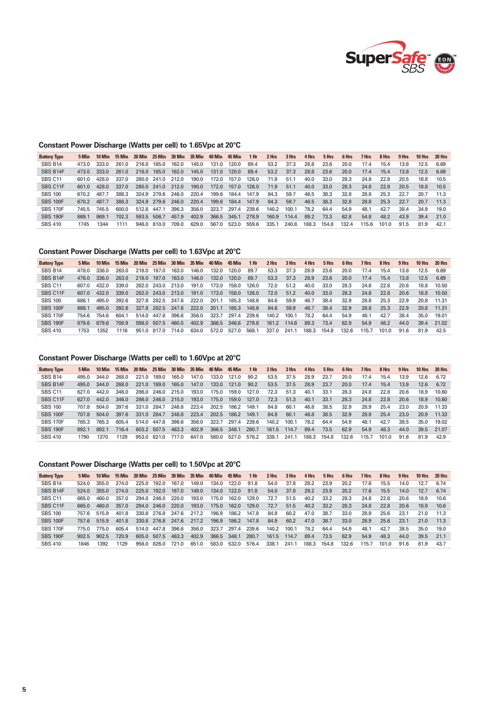

### **Constant Power Discharge (Watts per cell) to 1.65Vpc at 20°C**

| 5 Min |       | 15 Min | 20 Min |       | 30 Min                                                                     | 35 Min |       | <b>45 Min</b> | 1 Hr  | 2 Hrs | 3 Hrs | 4 Hrs | 5 Hrs | 6 Hrs | 7 Hrs | 8 Hrs | 9 Hrs | 10 Hrs | 20 Hrs |
|-------|-------|--------|--------|-------|----------------------------------------------------------------------------|--------|-------|---------------|-------|-------|-------|-------|-------|-------|-------|-------|-------|--------|--------|
| 473.0 | 333.0 | 261.0  | 216.0  | 185.0 | 162.0                                                                      | 145.0  | 131.0 | 120.0         | 89.4  | 53.2  | 37.3  | 28.8  | 23.6  | 20.0  | 17.4  | 15.4  | 13.8  | 12.5   | 6.69   |
| 473.0 | 333.0 | 261.0  | 216.0  | 185.0 | 162.0                                                                      | 145.0  | 131.0 | 120.0         | 89.4  | 53.2  | 37.3  | 28.8  | 23.6  | 20.0  | 17.4  | 15.4  | 13.8  | 12.5   | 6.69   |
| 601.0 | 428.0 | 337.0  |        |       | 212.0                                                                      | 190.0  | 172.0 | 157.0         | 126.0 | 71.9  | 51.1  | 40.0  | 33.0  | 28.3  | 24.8  | 22.8  | 20.5  | 18.8   | 10.5   |
| 601.0 | 428.0 | 337.0  |        |       | 212.0                                                                      | 190.0  | 172.0 | 157.0         | 126.0 | 71.9  | 51.1  | 40.0  | 33.0  | 28.3  | 24.8  | 22.8  | 20.5  | 18.8   | 10.5   |
| 670.2 | 4877  | 388.3  |        |       | 246.0                                                                      | 220.4  | 199.6 | 184.4         | 147.9 | 84.3  | 59.7  | 46.5  | 38.3  | 32.8  | 28.8  | 25.3  | 22.7  | 20.7   | 11.3   |
| 670.2 | 487.7 | 388.3  |        |       | 246.0                                                                      | 220.4  | 199.6 | 184.4         | 147.9 | 84.3  | 59.7  | 46.5  | 38.3  | 32.8  | 28.8  | 25.3  | 22.7  | 20.7   | 11.3   |
| 745.5 | 745.5 | 600 O  | 512.8  | 447.1 | 396.3                                                                      | 356.0  | 323.7 | 297.4         | 239.6 | 140.2 | 100.1 | 78.2  | 64.4  | 54.9  | 48.1  | 42.7  | 38.4  | 34.9   | 19.0   |
| 869.1 | 869.1 | 702.3  |        | 506.7 | 457.9                                                                      | 402.9  | 366.5 | 345.1         | 278.9 | 160.9 | 114.4 | 89.2  | 73.3  | 62.8  | 54.8  | 48.2  | 43.9  | 39.4   | 21.0   |
| 1745  | 1344  |        | 946.0  |       | 709.0                                                                      | 629.0  | 567.0 | 523.0         | 559.6 | 335.1 | 240.8 | 188.3 | 154.8 | 132.4 | 115.6 | 101.0 | 91.5  | 81.9   | 42.1   |
|       |       |        | 10 Min |       | 280.0 241.0<br>280.0 241.0<br>324.9 279.6<br>324.9 279.6<br>593.5<br>810.0 | 25 Min |       | 40 Min        |       |       |       |       |       |       |       |       |       |        |        |

## **Constant Power Discharge (Watts per cell) to 1.63Vpc at 20°C**

| <b>Battery Type</b> | 5 Min | 10 Min | 15 Min | 20 Min | <b>25 Min</b> | 30 Min | 35 Min | 40 Min | 45 Min | 1 Hr  | 2 Hrs | 3 Hrs | 4 Hrs | 5 Hrs | 6 Hrs | 7 Hrs | 8 Hrs | 9 Hrs | 10 Hrs | 20 Hrs |
|---------------------|-------|--------|--------|--------|---------------|--------|--------|--------|--------|-------|-------|-------|-------|-------|-------|-------|-------|-------|--------|--------|
| <b>SBS B14</b>      | 478.0 | 336.0  | 263.0  | 218.0  | 187.0         | 163.0  | 146.0  | 132.0  | 120.0  | 89.7  | 53.3  | 37.3  | 28.9  | 23.6  | 20.0  | 17.4  | 15.4  | 13.8  | 12.5   | 6.69   |
| SBS B14F            | 478.0 | 336.0  | 263.0  | 218.0  | 187.0         | 163.0  | 146.0  | 132.0  | 120.0  | 89.7  | 53.3  | 37.3  | 28.9  | 23.6  | 20.0  | 17.4  | 15.4  | 13.8  | 12.5   | 6.69   |
| <b>SBS C11</b>      | 607.0 | 432.0  | 339.0  | 282.0  | 243.0         | 213.0  | 191.0  | 173.0  | 158.0  | 126.0 | 72.0  | 51.2  | 40.0  | 33.0  | 28.3  | 24.8  | 22.8  | 20.6  | 18.8   | 10.50  |
| SBS C11F            | 607.0 | 432.0  | 339.0  | 282.0  | 243.0         | 213.0  | 191.0  | 173.0  | 158.0  | 126.0 | 72.0  | 51.2  | 40.0  | 33.0  | 28.3  | 24.8  | 22.8  | 20.6  | 18.8   | 10.50  |
| <b>SBS 100</b>      | 6861  | 495.0  | 392.6  | 327.8  | 282.5         | 247.6  | 222.0  | 201.1  | 185.3  | 148.6 | 84.6  | 59.9  | 46.7  | 38.4  | 32.9  | 28.8  | 25.3  | 22.9  | 20.8   | 11.31  |
| <b>SBS 100F</b>     | 686.1 | 495.0  | 392.6  |        | 327.8 282.5   | 247.6  | 222.0  | 201.1  | 185.3  | 148.6 | 84.6  | 59.9  | 46.7  | 38.4  | 32.9  | 28.8  | 25.3  | 22.9  | 20.8   | 11.31  |
| <b>SBS 170F</b>     | 754.6 | 754.6  | 604.1  | 514.0  | 447.8         | 396.6  | 356.0  | 323.7  | 297.4  | 239.6 | 140.2 | 100.1 | 78.2  | 64.4  | 54.9  | 48.1  | 42.7  | 38.4  | 35.0   | 19.01  |
| <b>SBS 190F</b>     | 879.6 | 879.6  | 708.9  | 598.0  | 507.5         | 460.5  | 402.9  | 366.5  | 346.6  | 279.8 | 161.2 | 114.6 | 89.3  | 73.4  | 62.9  | 54.9  | 48.2  | 44.0  | 39.4   | 21.02  |
| <b>SBS 410</b>      | 1753  | 1352   | 1116   |        | 951.0 817.0   | 714.0  | 634.0  | 572.0  | 527.0  | 568.1 | 337.0 | 241.1 | 188.3 | 154.8 | 132.6 | 115.7 | 101.0 | 91.6  | 81.9   | 42.5   |

### **Constant Power Discharge (Watts per cell) to 1.60Vpc at 20°C**

| <b>Battery Type</b> | 5 Min | 10 Min | 15 Min | 20 Min      |             | 25 Min 30 Min 35 Min |       | 40 Min | 45 Min | 1 Hr  | 2 Hrs | 3 Hrs | 4 Hrs | 5 Hrs | 6 Hrs | 7 Hrs | 8 Hrs | 9 Hrs | 10 Hrs | 20 Hrs |
|---------------------|-------|--------|--------|-------------|-------------|----------------------|-------|--------|--------|-------|-------|-------|-------|-------|-------|-------|-------|-------|--------|--------|
| <b>SBS B14</b>      | 495.0 | 344.0  | 268.0  | 221.0       | 189.0       | 165.0                | 147.0 | 133.0  | 121.0  | 90.2  | 53.5  | 37.5  | 28.9  | 23.7  | 20.0  | 17.4  | 15.4  | 13.9  | 12.6   | 6.72   |
| SBS B14F            | 495.0 | 344.0  | 268.0  | 221.0       | 189.0       | 165.0                | 147.0 | 133.0  | 121.0  | 90.2  | 53.5  | 37.5  | 28.9  | 23.7  | 20.0  | 17.4  | 15.4  | 13.9  | 12.6   | 6.72   |
| SBS <sub>C11</sub>  | 627.0 | 442.0  | 346.0  | 286.0       | 246.0       | 215.0                | 193.0 | 175.0  | 159.0  | 127.0 | 72.3  | 51.3  | 40.1  | 33.1  | 28.3  | 24.8  | 22.8  | 20.6  | 18.9   | 10.60  |
| SBS C11F            | 627.0 | 442.0  | 346.0  |             | 286.0 246.0 | 215.0                | 193.0 | 175.0  | 159.0  | 127.0 | 72.3  | 51.3  | 40.1  | 33.1  | 28.3  | 24.8  | 22.8  | 20.6  | 18.9   | 10.60  |
| <b>SBS 100</b>      | 707.8 | 504.0  | 397.6  | 331.0 284.7 |             | 248.8                | 223.4 | 202.5  | 186.2  | 149.1 | 84.8  | 60.1  | 46.8  | 38.5  | 32.9  | 28.9  | 25.4  | 23.0  | 20.9   | 11.33  |
| <b>SBS 100F</b>     | 7078  | 504.0  | 397.6  | 331.0       | 284.7       | 248.8                | 223.4 | 202.5  | 186.2  | 149.1 | 84.8  | 60.1  | 46.8  | 38.5  | 32.9  | 28.9  | 25.4  | 23.0  | 20.9   | 11.33  |
| <b>SBS 170F</b>     | 765.3 | 765.3  | 6054   | 514.0       | 447.8       | 396.6                | 356.0 | 323.7  | 297.4  | 239.6 | 140.2 | 100.1 | 78.2  | 64.4  | 54.9  | 48.1  | 42.7  | 38.5  | 35.0   | 19.02  |
| <b>SBS 190F</b>     | 892.1 | 8921   | 716.4  | 603.2       | 507.5       | 463.3                | 402.9 | 366.5  | 348.1  | 280.7 | 161.5 | 114.7 | 89.4  | 73.5  | 62.9  | 54.9  | 48.3  | 44.0  | 39.5   | 21.07  |
| <b>SBS 410</b>      | 1790  | 1370   | 1129   | 953.0       | 821.0       | 717.0                | 647.0 | 580.0  | 527.0  | 576.2 | 338.1 | 241.1 | 188.3 | 154.8 | 132.6 | 115.7 | 101.0 | 91.6  | 81.9   | 42.9   |

### **Constant Power Discharge (Watts per cell) to 1.50Vpc at 20°C**

| 5 Min |       |       | 20 Min           |       |                                                                            |               |       | 45 Min        | 1 Hr  | 2 Hrs | 3 Hrs | 4 Hrs | 5 Hrs | 6 Hrs | 7 Hrs | 8 Hrs | 9 Hrs | 10 Hrs | 20 Hrs |
|-------|-------|-------|------------------|-------|----------------------------------------------------------------------------|---------------|-------|---------------|-------|-------|-------|-------|-------|-------|-------|-------|-------|--------|--------|
| 524.0 | 355.0 | 274.0 | 225.0            | 192.0 | 167.0                                                                      | 149.0         | 134.0 | 122.0         | 91.8  | 54.0  | 37.8  | 29.2  | 23.9  | 20.2  | 17.6  | 15.5  | 14.0  | 12.7   | 6.74   |
| 524.0 | 355.0 | 274.0 | 225.0            | 192.0 | 167.0                                                                      | 149.0         | 134.0 | 122.0         | 91.8  | 54.0  | 37.8  | 29.2  | 23.9  | 20.2  | 17.6  | 15.5  | 14.0  | 12.7   | 6.74   |
| 665.0 | 460.0 | 357.0 |                  |       | 220.0                                                                      | 193.0         | 175.0 | 162.0         | 129.0 | 72.7  | 51.5  | 40.2  | 33.2  | 28.3  | 24.8  | 22.8  | 20.6  | 18.9   | 10.6   |
| 665.0 | 460.0 | 357.0 |                  |       | 220.0                                                                      | 193.0         | 175.0 | 162.0         | 129.0 | 72.7  | 51.5  | 40.2  | 33.2  | 28.3  | 24.8  | 22.8  | 20.6  | 18.9   | 10.6   |
| 757.6 | 515.9 | 401.8 |                  |       | 247.6                                                                      | 217.2         | 196.9 | 186.2         | 147.8 | 84.9  | 60.2  | 47.0  | 38.7  | 33.0  | 28.9  | 25.6  | 23.1  | 210    | 11.3   |
| 757.6 | 515.9 | 401.8 |                  |       | 247.6                                                                      | 217.2         | 196.9 | 186.2         | 147.8 | 84.9  | 60.2  | 47.0  | 38.7  | 33.0  | 28.9  | 25.6  | 23.1  | 21.0   | 11.3   |
| 775.0 | 775.0 | 6054  | 514.0            |       | 396.6                                                                      | 356.0         | 323.7 | 297.4         | 239.6 | 140.2 | 100.1 | 78.2  | 64.4  | 54.9  | 48.1  | 42.7  | 38.5  | 35.0   | 19.0   |
| 9025  | 9025  | 720.9 | 605.0            | 507.5 | 463.3                                                                      | 402.9         | 366.5 | 348.1         | 280.7 | 161.5 | 114.7 | 89.4  | 73.5  | 62.9  | 54.9  | 48.3  | 44.0  | 39.5   | 21.1   |
| 1846  | 1392  | 1129  | 956.0            |       | 721.0                                                                      | 651.0         | 583.0 | 532.0         | 576.4 | 338.1 | 241.1 | 188.3 | 154.8 | 132.6 | 115.7 | 101.0 | 91.6  | 81.9   | 43.7   |
|       |       |       | 15 Min<br>10 Min |       | 294.0 246.0<br>294.0 246.0<br>330.8 276.8<br>330.8 276.8<br>447.8<br>826.0 | 25 Min 30 Min |       | 35 Min 40 Min |       |       |       |       |       |       |       |       |       |        |        |